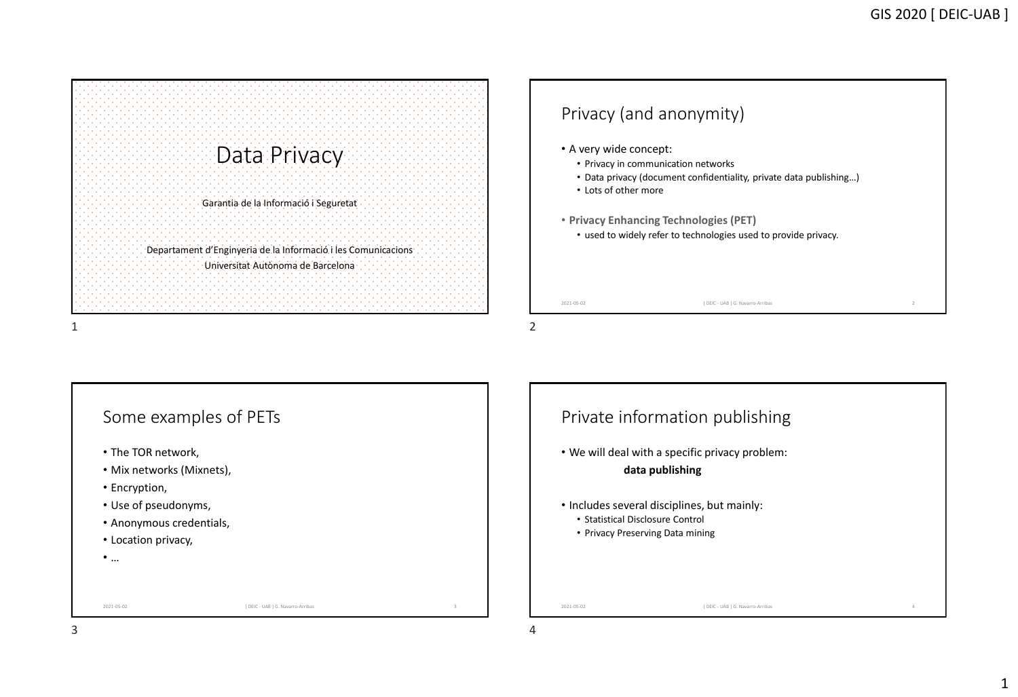Data Privacy Garantia de la Informació i Seguretat Departament d'Enginyeria de la Informació i les Comunicacions Universitat Autònoma de Barcelona



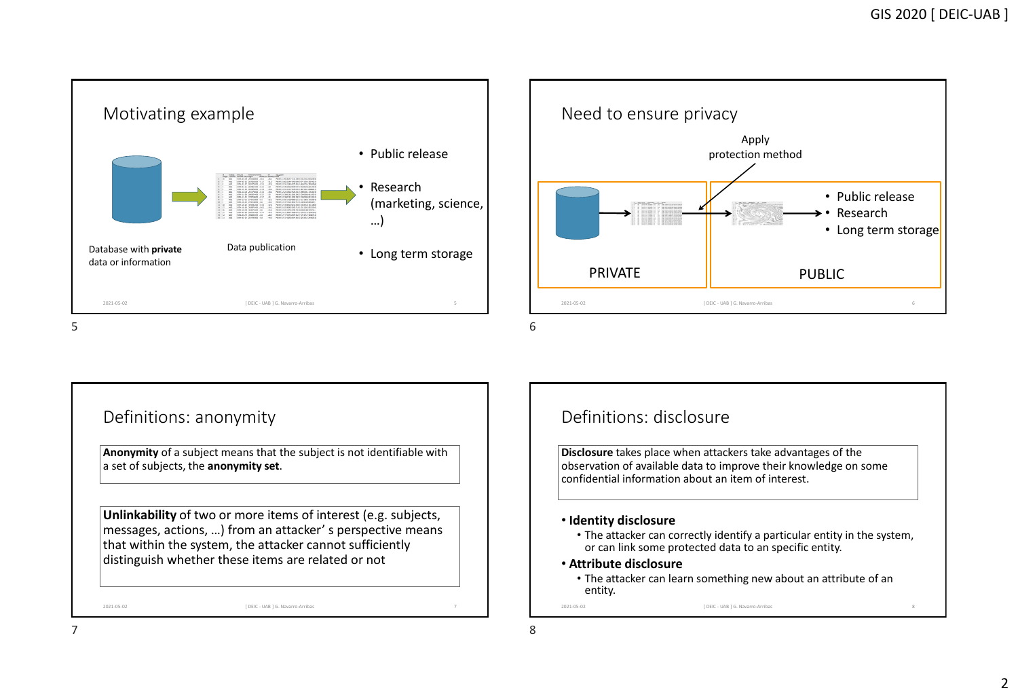



### Definitions: anonymity

**Anonymity** of a subject means that the subject is not identifiable with a set of subjects, the **anonymity set**.

**Unlinkability** of two or more items of interest (e.g. subjects, messages, actions, …) from an attacker' s perspective means that within the system, the attacker cannot sufficiently distinguish whether these items are related or not

2021-05-02 7 [ DEIC - UAB ] G. Navarro-Arribas

## Definitions: disclosure

**Disclosure** takes place when attackers take advantages of the  $\vert$  observation of available data to improve their knowledge on some confidential information about an item of interest.

### • **Identity disclosure**

- The attacker can correctly identify a particular entity in the system, or can link some protected data to an specific entity.
- **Attribute disclosure**
- 2021-05-02 8 [ DEIC UAB ] G. Navarro-Arribas • The attacker can learn something new about an attribute of an entity.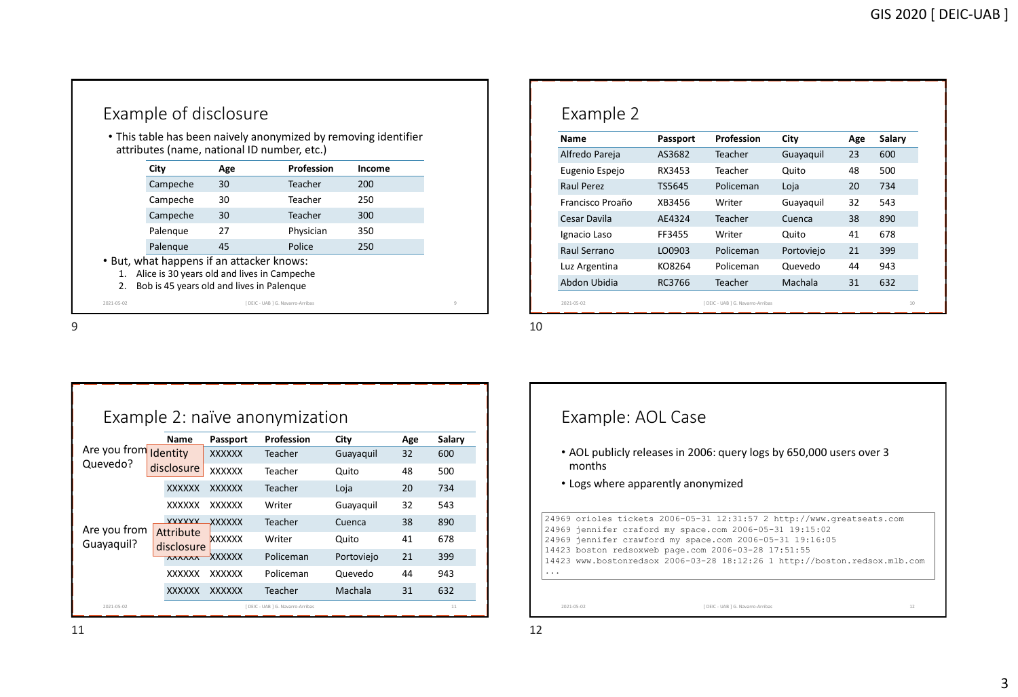|          |                                                                                                                                       |     | . This table has been naively anonymized by removing identifier<br>attributes (name, national ID number, etc.) |        |
|----------|---------------------------------------------------------------------------------------------------------------------------------------|-----|----------------------------------------------------------------------------------------------------------------|--------|
|          | City                                                                                                                                  | Age | <b>Profession</b>                                                                                              | Income |
|          | Campeche                                                                                                                              | 30  | Teacher                                                                                                        | 200    |
|          | Campeche                                                                                                                              | 30  | Teacher                                                                                                        | 250    |
|          | Campeche                                                                                                                              | 30  | Teacher                                                                                                        | 300    |
|          | Palengue                                                                                                                              | 27  | Physician                                                                                                      | 350    |
|          | Palengue                                                                                                                              | 45  | Police                                                                                                         | 250    |
| 1.<br>2. | . But, what happens if an attacker knows:<br>Alice is 30 years old and lives in Campeche<br>Bob is 45 years old and lives in Palengue |     |                                                                                                                |        |

| Name             | Passport | Profession | City       | Age | Salary |
|------------------|----------|------------|------------|-----|--------|
| Alfredo Pareja   | AS3682   | Teacher    | Guayaquil  | 23  | 600    |
| Eugenio Espejo   | RX3453   | Teacher    | Quito      | 48  | 500    |
| Raul Perez       | TS5645   | Policeman  | Loja       | 20  | 734    |
| Francisco Proaño | XB3456   | Writer     | Guayaquil  | 32  | 543    |
| Cesar Davila     | AE4324   | Teacher    | Cuenca     | 38  | 890    |
| Ignacio Laso     | FF3455   | Writer     | Quito      | 41  | 678    |
| Raul Serrano     | LO0903   | Policeman  | Portoviejo | 21  | 399    |
| Luz Argentina    | KO8264   | Policeman  | Quevedo    | 44  | 943    |
| Abdon Ubidia     | RC3766   | Teacher    | Machala    | 31  | 632    |

 $9$ 

|              |                         |               | Example 2: naïve anonymization    |            |     |        |
|--------------|-------------------------|---------------|-----------------------------------|------------|-----|--------|
|              | Name                    | Passport      | Profession                        | City       | Age | Salary |
| Are you from | Identity                | <b>XXXXXX</b> | Teacher                           | Guayaquil  | 32  | 600    |
| Quevedo?     | disclosure              | <b>XXXXXX</b> | Teacher                           | Quito      | 48  | 500    |
|              | <b>XXXXXX</b>           | <b>XXXXXX</b> | Teacher                           | Loja       | 20  | 734    |
|              | <b>XXXXXX</b>           | <b>XXXXXX</b> | Writer                            | Guayaquil  | 32  | 543    |
| Are you from | <b>VVVVVV</b>           | <b>XXXXXX</b> | Teacher                           | Cuenca     | 38  | 890    |
| Guayaquil?   | Attribute<br>disclosure | <b>XXXXXX</b> | Writer                            | Quito      | 41  | 678    |
|              | <b>AAAAAA</b>           | <b>XXXXXX</b> | Policeman                         | Portoviejo | 21  | 399    |
|              | <b>XXXXXX</b>           | XXXXXX        | Policeman                         | Quevedo    | 44  | 943    |
|              | <b>XXXXXX</b>           | <b>XXXXXX</b> | <b>Teacher</b>                    | Machala    | 31  | 632    |
| 2021-05-02   |                         |               | [ DEIC - UAB 1 G. Navarro-Arribas |            |     | 11     |

### Example: AOL Case

- AOL publicly releases in 2006: query logs by 650,000 users over 3 months
- Logs where apparently anonymized

24969 orioles tickets 2006-05-31 12:31:57 2 http://www.greatseats.com

- 24969 jennifer craford my space.com 2006-05-31 19:15:02 24969 jennifer crawford my space.com 2006-05-31 19:16:05
- 14423 boston redsoxweb page.com 2006-03-28 17:51:55
- 14423 www.bostonredsox 2006-03-28 18:12:26 1 http://boston.redsox.mlb.com ...

2021-05-02 12 [ DEIC - UAB ] G. Navarro-Arribas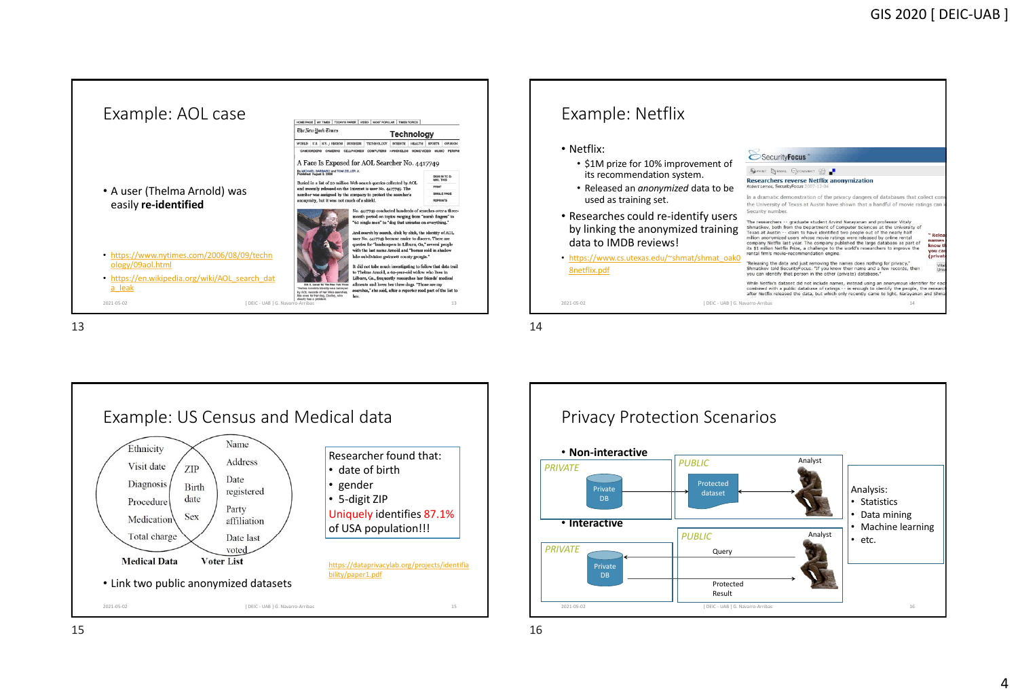



 $13$ 





 $15$  15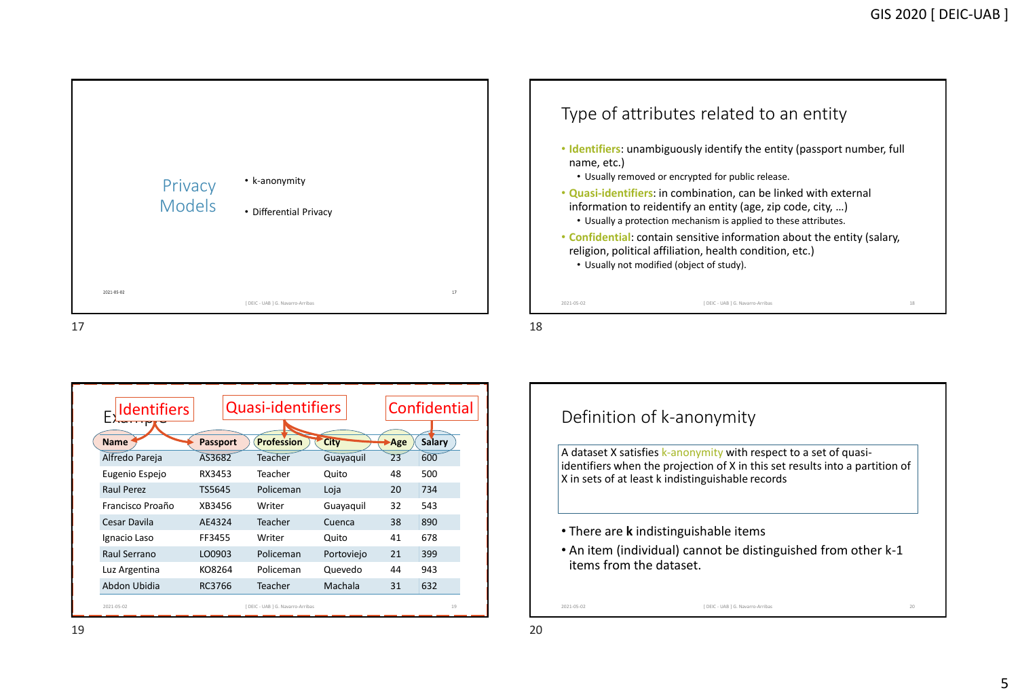

| <b>Identifiers</b> |          | <b>Quasi-identifiers</b>          |             |     | Confidential |
|--------------------|----------|-----------------------------------|-------------|-----|--------------|
| <b>Name</b>        | Passport | <b>Profession</b>                 | <b>City</b> | Age | Salary       |
| Alfredo Pareja     | AS3682   | Teacher                           | Guayaquil   | 23  | 600          |
| Eugenio Espejo     | RX3453   | Teacher                           | Quito       | 48  | 500          |
| Raul Perez         | TS5645   | Policeman                         | Loja        | 20  | 734          |
| Francisco Proaño   | XB3456   | Writer                            | Guayaquil   | 32  | 543          |
| Cesar Davila       | AE4324   | Teacher                           | Cuenca      | 38  | 890          |
| Ignacio Laso       | FF3455   | Writer                            | Quito       | 41  | 678          |
| Raul Serrano       | LO0903   | Policeman                         | Portoviejo  | 21  | 399          |
| Luz Argentina      | KO8264   | Policeman                         | Quevedo     | 44  | 943          |
| Abdon Ubidia       | RC3766   | Teacher                           | Machala     | 31  | 632          |
| 2021-05-02         |          | [ DEIC - UAB ] G. Navarro-Arribas |             |     | 19           |

# Definition of k-anonymity

A dataset X satisfies k-anonymity with respect to a set of quasiidentifiers when the projection of X in this set results into a partition of  $X$  in sets of at least k indistinguishable records

- There are **k** indistinguishable items
- An item (individual) cannot be distinguished from other k-1 items from the dataset.

2021-05-02 20 [ DEIC - UAB ] G. Navarro-Arribas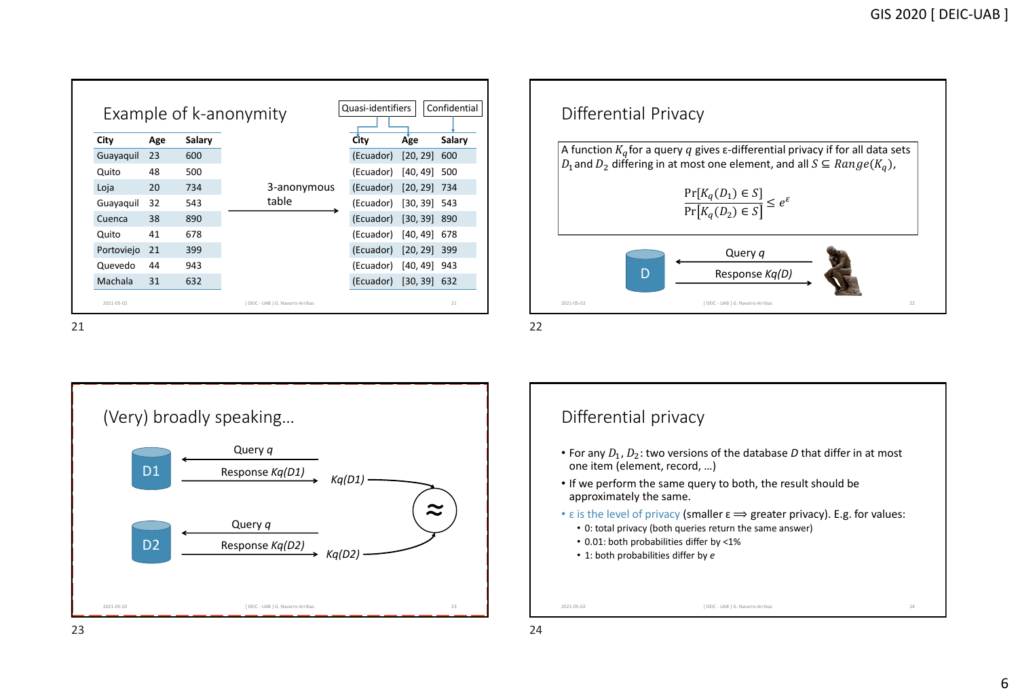|            |     |        | Example of k-anonymity |           |                |        |
|------------|-----|--------|------------------------|-----------|----------------|--------|
| City       | Age | Salary |                        | City      | Age            | Salary |
| Guayaquil  | 23  | 600    |                        | (Ecuador) | [20, 29]       | 600    |
| Quito      | 48  | 500    |                        | (Ecuador) | [40, 49]       | 500    |
| Loja       | 20  | 734    | 3-anonymous            | (Ecuador) | $[20, 29]$ 734 |        |
| Guayaguil  | 32  | 543    | table                  | (Ecuador) | $[30, 39]$ 543 |        |
| Cuenca     | 38  | 890    |                        | (Ecuador) | $[30, 39]$ 890 |        |
| Quito      | 41  | 678    |                        | (Ecuador) | [40, 49]       | 678    |
| Portoviejo | 21  | 399    |                        | (Ecuador) | $[20, 29]$ 399 |        |
| Quevedo    | 44  | 943    |                        | (Ecuador) | $[40, 49]$ 943 |        |
| Machala    | 31  | 632    |                        | (Ecuador) | $[30, 39]$ 632 |        |





Differential privacy

- For any  $D_1$ ,  $D_2$ : two versions of the database  $D$  that differ in at most one item (element, record, …)
- If we perform the same query to both, the result should be approximately the same.
- $\varepsilon$  is the level of privacy (smaller  $\varepsilon \Longrightarrow$  greater privacy). E.g. for values:
	- 0: total privacy (both queries return the same answer)
	- 0.01: both probabilities differ by <1%
	- 1: both probabilities differ by *e*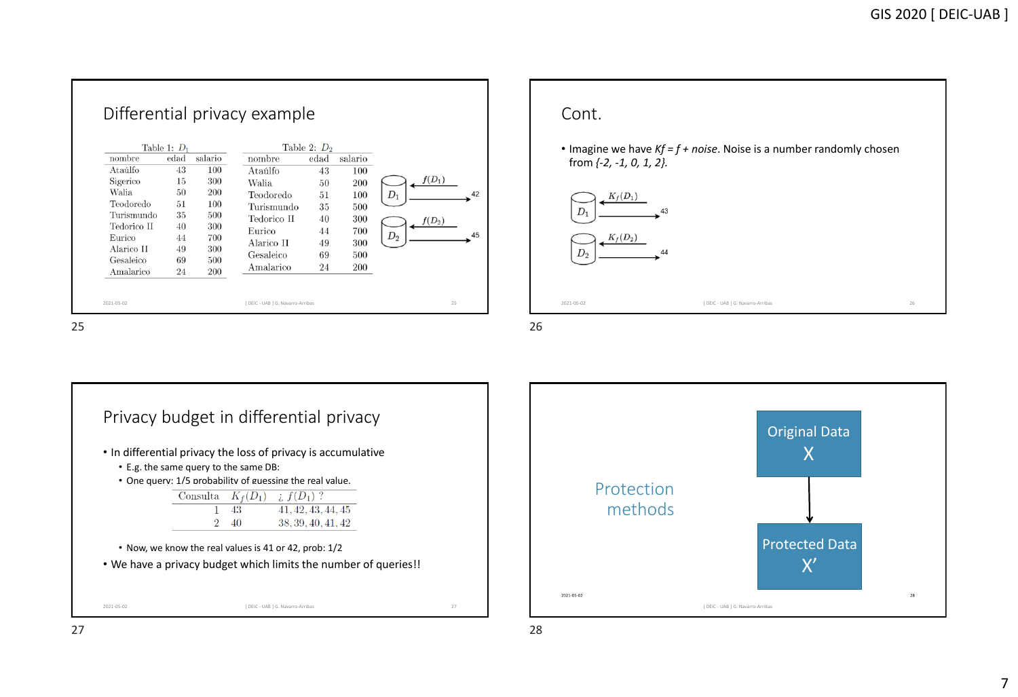|             | Table 1: $D_1$ |         |             | Table 2: $D_2$ |         |          |
|-------------|----------------|---------|-------------|----------------|---------|----------|
| nombre      | edad           | salario | nombre      | edad           | salario |          |
| Ataúlfo     | 43             | 100     | Ataúlfo     | 43             | 100     |          |
| Sigerico    | 15             | 300     | Walia.      | 50             | 200     | $f(D_1)$ |
| Walia       | 50             | 200     | Teodoredo   | 51             | 100     | $D_1$    |
| Teodoredo   | 51             | 100     | Turismundo  | 35             | 500     |          |
| Turismundo  | 35             | 500     | Tedorico II | 40             | 300     | $f(D_2)$ |
| Tedorico II | 40             | 300     | Eurico      | 44             | 700     |          |
| Eurico      | 44             | 700     | Alarico II  | 49             | 300     | $D_{2}$  |
| Alarico II  | 49             | 300     | Gesaleico   | 69             | 500     |          |
| Gesaleico   | 69             | 500     |             |                |         |          |
| Amalarico   | 24             | 200     | Amalarico   | 24             | 200     |          |





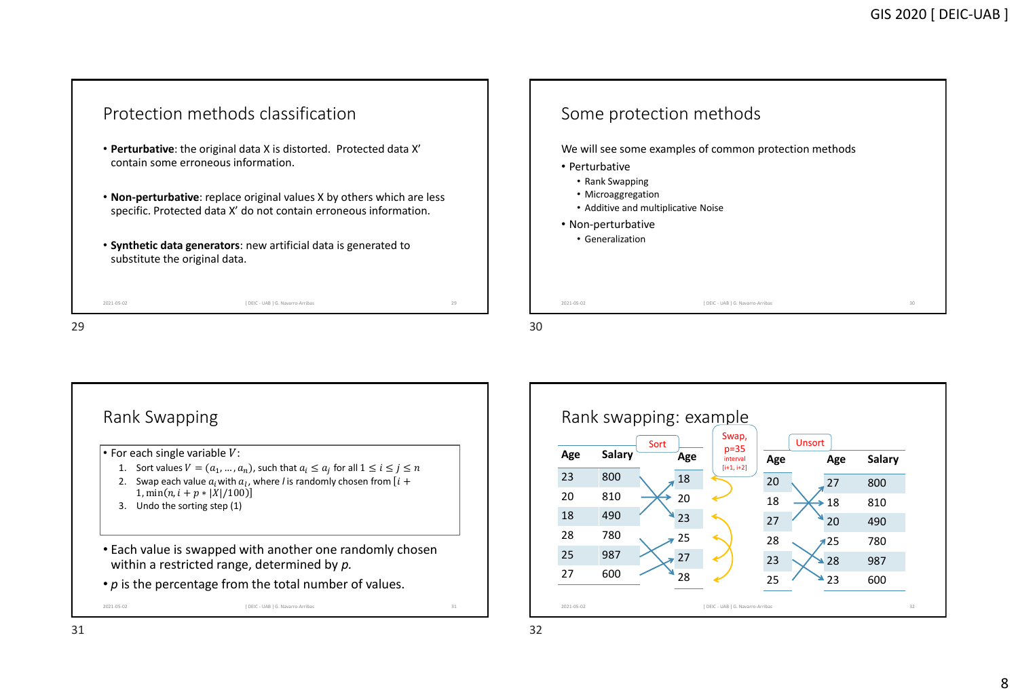



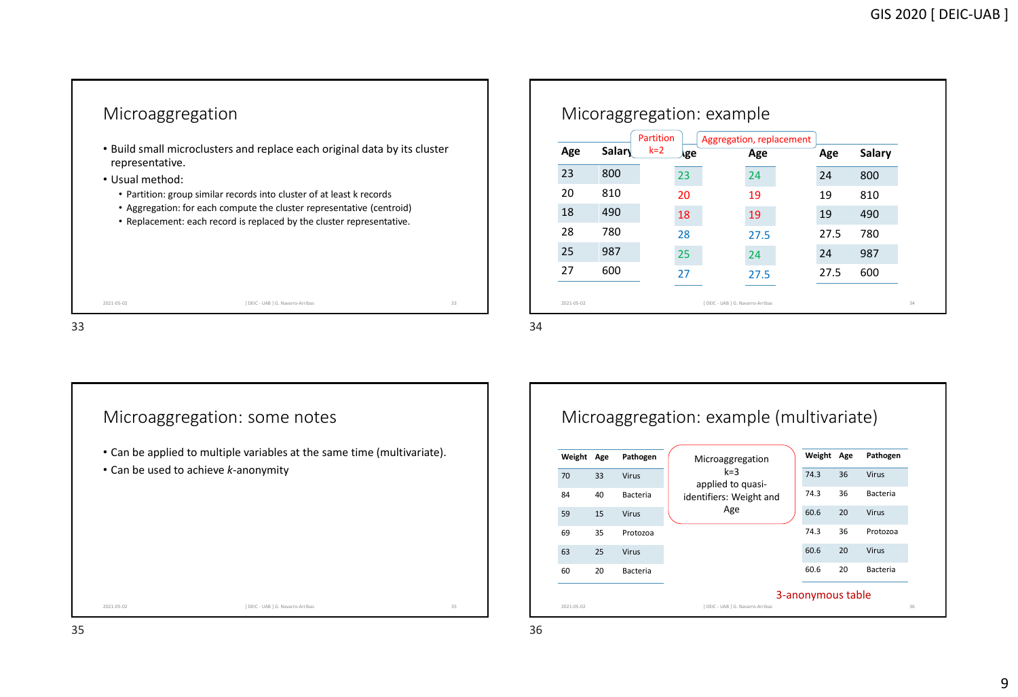

|     |        | Partition |     | Aggregation, replacement |      |      |               |
|-----|--------|-----------|-----|--------------------------|------|------|---------------|
| Age | Salary | $k=2$     | ۸ge |                          | Age  | Age  | <b>Salary</b> |
| 23  | 800    |           | 23  |                          | 24   | 24   | 800           |
| 20  | 810    |           | 20  |                          | 19   | 19   | 810           |
| 18  | 490    |           | 18  |                          | 19   | 19   | 490           |
| 28  | 780    |           | 28  |                          | 27.5 | 27.5 | 780           |
| 25  | 987    |           | 25  |                          | 24   | 24   | 987           |
| 27  | 600    |           | 27  |                          | 27.5 | 27.5 | 600           |



### Microaggregation: example (multivariate) 2021-05-02 36 [ DEIC - UAB ] G. Navarro-Arribas **Weight Age Pathogen** 70 33 Virus 84 40 Bacteria 59 15 Virus 69 35 Protozoa 63 25 Virus 60 20 Bacteria **Weight Age Pathogen** 74.3 36 Virus 74.3 36 Bacteria 60.6 20 Virus 74.3 36 Protozoa 60.6 20 Virus 60.6 20 Bacteria Microaggregation  $k=3$ applied to quasiidentifiers: Weight and Age 3-anonymous table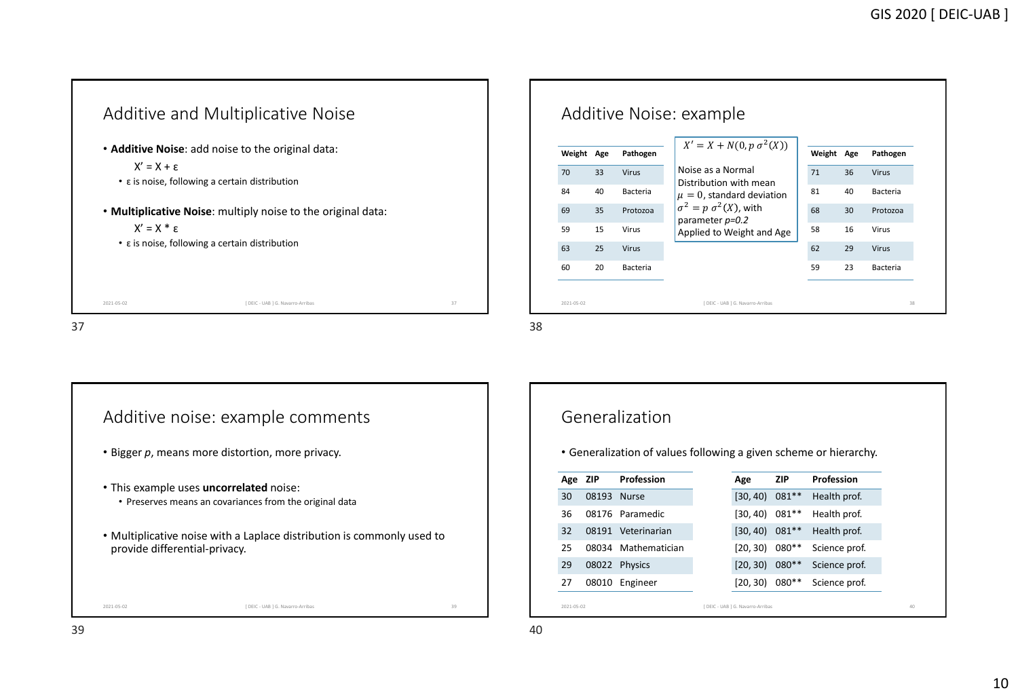



### Generalization

• Generalization of values following a given scheme or hierarchy.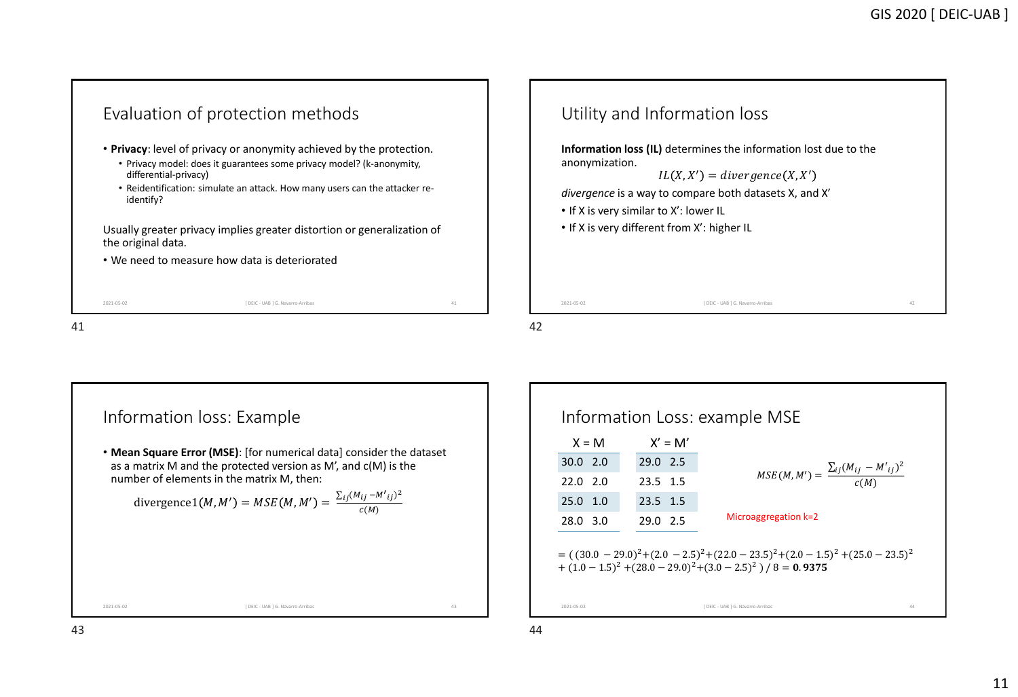



| $X = M$          |            | $X' = M'$ |                                                                                                                                                         |
|------------------|------------|-----------|---------------------------------------------------------------------------------------------------------------------------------------------------------|
| $30.0$ 2.0       | $29.0$ 2.5 |           |                                                                                                                                                         |
| 22.0 2.0         | 23.5 1.5   |           | $MSE(M, M') = \frac{\sum_{ij} (M_{ij} - M'_{ij})^2}{c(M)}$                                                                                              |
| $25.0 \quad 1.0$ | $23.5$ 1.5 |           |                                                                                                                                                         |
| 28.0 3.0         | 29.0 2.5   |           | Microaggregation k=2                                                                                                                                    |
|                  |            |           | $=$ $((30.0 - 29.0)^2 + (2.0 - 2.5)^2 + (22.0 - 23.5)^2 + (2.0 - 1.5)^2 + (25.0 - 23.5)^2)$<br>$+(1.0-1.5)^{2}+(28.0-29.0)^{2}+(3.0-2.5)^{2})/8=0.9375$ |